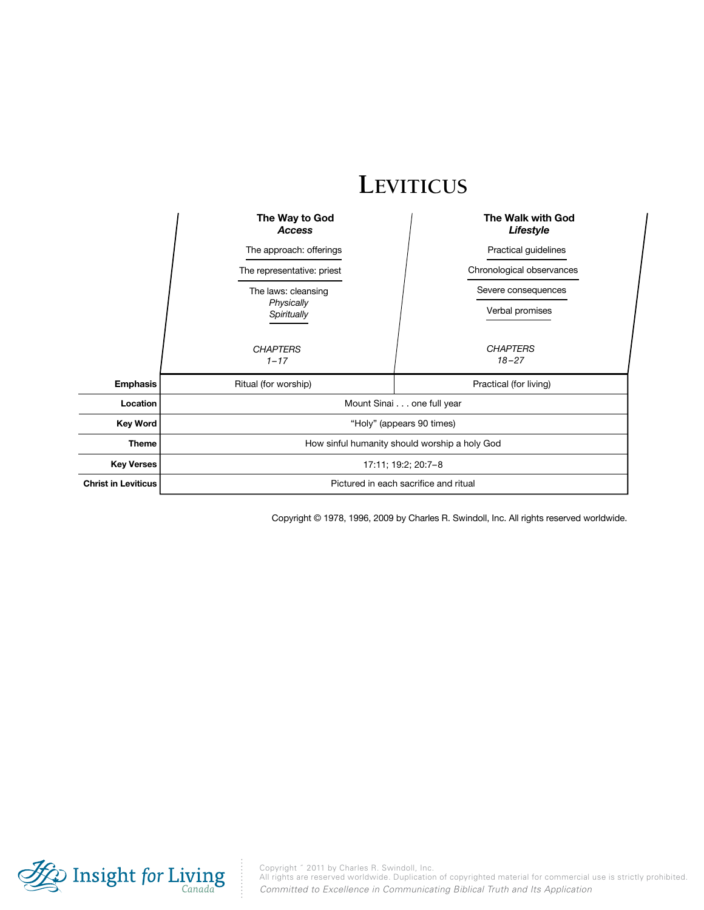|                            | LEVITICUS                                     |                                |  |
|----------------------------|-----------------------------------------------|--------------------------------|--|
|                            | The Way to God<br><b>Access</b>               | The Walk with God<br>Lifestyle |  |
|                            | The approach: offerings                       | Practical guidelines           |  |
|                            | The representative: priest                    | Chronological observances      |  |
|                            | The laws: cleansing                           | Severe consequences            |  |
|                            | Physically<br>Spiritually                     | Verbal promises                |  |
|                            | <b>CHAPTERS</b><br>$1 - 17$                   | <b>CHAPTERS</b><br>$18 - 27$   |  |
| <b>Emphasis</b>            | Ritual (for worship)                          | Practical (for living)         |  |
| Location                   |                                               | Mount Sinai one full year      |  |
| <b>Key Word</b>            | "Holy" (appears 90 times)                     |                                |  |
| <b>Theme</b>               | How sinful humanity should worship a holy God |                                |  |
| <b>Key Verses</b>          | 17:11; 19:2; 20:7-8                           |                                |  |
| <b>Christ in Leviticus</b> | Pictured in each sacrifice and ritual         |                                |  |

Copyright © 1978, 1996, 2009 by Charles R. Swindoll, Inc. All rights reserved worldwide.